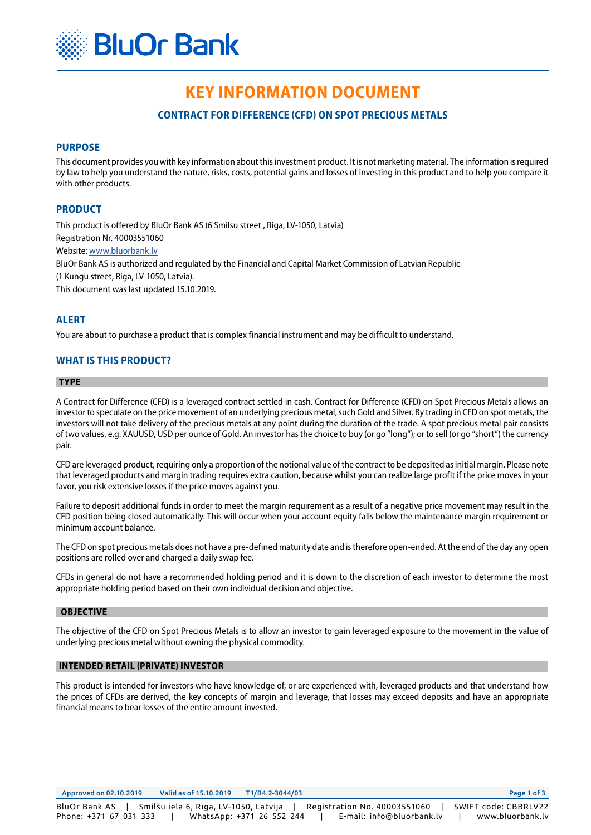

# **KEY INFORMATION DOCUMENT**

# **CONTRACT FOR DIFFERENCE (CFD) ON SPOT PRECIOUS METALS**

# **PURPOSE**

This document provides you with key information about this investment product. It is not marketing material. The information is required by law to help you understand the nature, risks, costs, potential gains and losses of investing in this product and to help you compare it with other products.

# **PRODUCT**

This product is offered by BluOr Bank AS (6 Smilsu street , Riga, LV-1050, Latvia) Registration Nr. 40003551060

Website: [www.bluorbank.lv](https://www.bluorbank.lv/en/index)

BluOr Bank AS is authorized and regulated by the Financial and Capital Market Commission of Latvian Republic

(1 Kungu street, Riga, LV-1050, Latvia).

This document was last updated 15.10.2019.

## **ALERT**

You are about to purchase a product that is complex financial instrument and may be difficult to understand.

# **WHAT IS THIS PRODUCT?**

#### **TYPE**

A Contract for Difference (CFD) is a leveraged contract settled in cash. Contract for Difference (CFD) on Spot Precious Metals allows an investor to speculate on the price movement of an underlying precious metal, such Gold and Silver. By trading in CFD on spot metals, the investors will not take delivery of the precious metals at any point during the duration of the trade. A spot precious metal pair consists of two values, e.g. XAUUSD, USD per ounce of Gold. An investor has the choice to buy (or go "long"); or to sell (or go "short") the currency pair.

CFD are leveraged product, requiring only a proportion of the notional value of the contract to be deposited as initial margin. Please note that leveraged products and margin trading requires extra caution, because whilst you can realize large profit if the price moves in your favor, you risk extensive losses if the price moves against you.

Failure to deposit additional funds in order to meet the margin requirement as a result of a negative price movement may result in the CFD position being closed automatically. This will occur when your account equity falls below the maintenance margin requirement or minimum account balance.

The CFD on spot precious metals does not have a pre-defined maturity date and is therefore open-ended. At the end of the day any open positions are rolled over and charged a daily swap fee.

CFDs in general do not have a recommended holding period and it is down to the discretion of each investor to determine the most appropriate holding period based on their own individual decision and objective.

## **OBJECTIVE**

The objective of the CFD on Spot Precious Metals is to allow an investor to gain leveraged exposure to the movement in the value of underlying precious metal without owning the physical commodity.

## **INTENDED RETAIL (PRIVATE) INVESTOR**

This product is intended for investors who have knowledge of, or are experienced with, leveraged products and that understand how the prices of CFDs are derived, the key concepts of margin and leverage, that losses may exceed deposits and have an appropriate financial means to bear losses of the entire amount invested.

Approved on 02.10.2019 Valid as of 15.10.2019 T1/B4.2-3044/03 Page 1 of 3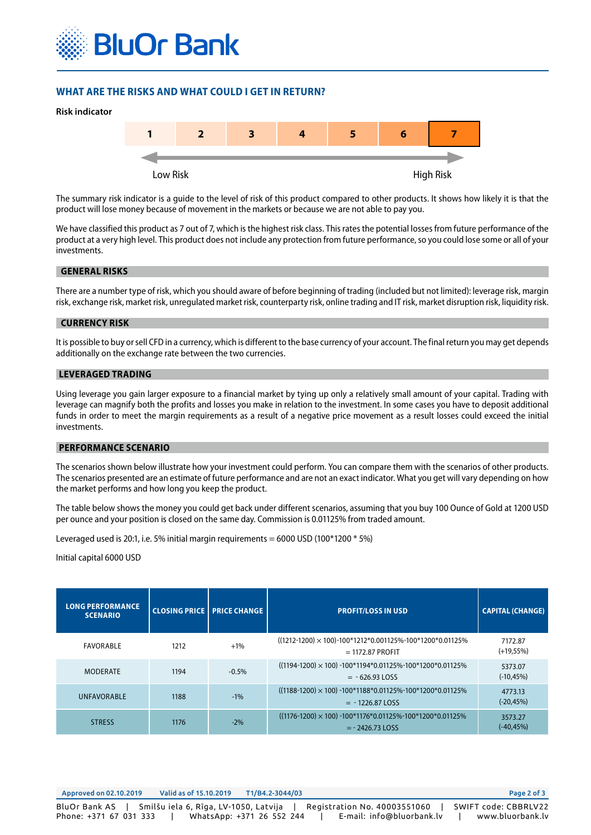

# **WHAT ARE THE RISKS AND WHAT COULD I GET IN RETURN?**



The summary risk indicator is a guide to the level of risk of this product compared to other products. It shows how likely it is that the product will lose money because of movement in the markets or because we are not able to pay you.

We have classified this product as 7 out of 7, which is the highest risk class. This rates the potential losses from future performance of the product at a very high level. This product does not include any protection from future performance, so you could lose some or all of your investments.

#### **GENERAL RISKS**

There are a number type of risk, which you should aware of before beginning of trading (included but not limited): leverage risk, margin risk, exchange risk, market risk, unregulated market risk, counterparty risk, online trading and IT risk, market disruption risk, liquidity risk.

#### **CURRENCY RISK**

It is possible to buy or sell CFD in a currency, which is different to the base currency of your account. The final return you may get depends additionally on the exchange rate between the two currencies.

# **LEVERAGED TRADING**

Using leverage you gain larger exposure to a financial market by tying up only a relatively small amount of your capital. Trading with leverage can magnify both the profits and losses you make in relation to the investment. In some cases you have to deposit additional funds in order to meet the margin requirements as a result of a negative price movement as a result losses could exceed the initial investments.

#### **PERFORMANCE SCENARIO**

The scenarios shown below illustrate how your investment could perform. You can compare them with the scenarios of other products. The scenarios presented are an estimate of future performance and are not an exact indicator. What you get will vary depending on how the market performs and how long you keep the product.

The table below shows the money you could get back under different scenarios, assuming that you buy 100 Ounce of Gold at 1200 USD per ounce and your position is closed on the same day. Commission is 0.01125% from traded amount.

Leveraged used is 20:1, i.e. 5% initial margin requirements = 6000 USD (100 $*$ 1200 $*$  5%)

#### Initial capital 6000 USD

| <b>LONG PERFORMANCE</b><br><b>SCENARIO</b> |      | <b>CLOSING PRICE PRICE CHANGE</b> | <b>PROFIT/LOSS IN USD</b>                                                               | <b>CAPITAL (CHANGE)</b> |
|--------------------------------------------|------|-----------------------------------|-----------------------------------------------------------------------------------------|-------------------------|
| FAVORABLE                                  | 1212 | $+1\%$                            | $((1212-1200) \times 100)$ -100*1212*0.001125%-100*1200*0.01125%<br>$= 1172.87$ PROFIT  | 7172.87<br>$(+19,55%)$  |
| <b>MODERATE</b>                            | 1194 | $-0.5%$                           | $((1194-1200) \times 100)$ -100*1194*0.01125%-100*1200*0.01125%<br>$= -626.93$ LOSS     | 5373.07<br>$(-10, 45%)$ |
| <b>UNFAVORABLE</b>                         | 1188 | $-1\%$                            | $((1188-1200) \times 100) -100*1188*0.01125\% -100*1200*0.01125\%$<br>$= -1226.87$ LOSS | 4773.13<br>$(-20, 45%)$ |
| <b>STRESS</b>                              | 1176 | $-2\%$                            | $((1176-1200) \times 100) -100*1176*0.01125\% -100*1200*0.01125\%$<br>$= -2426.73$ LOSS | 3573.27<br>$(-40, 45%)$ |